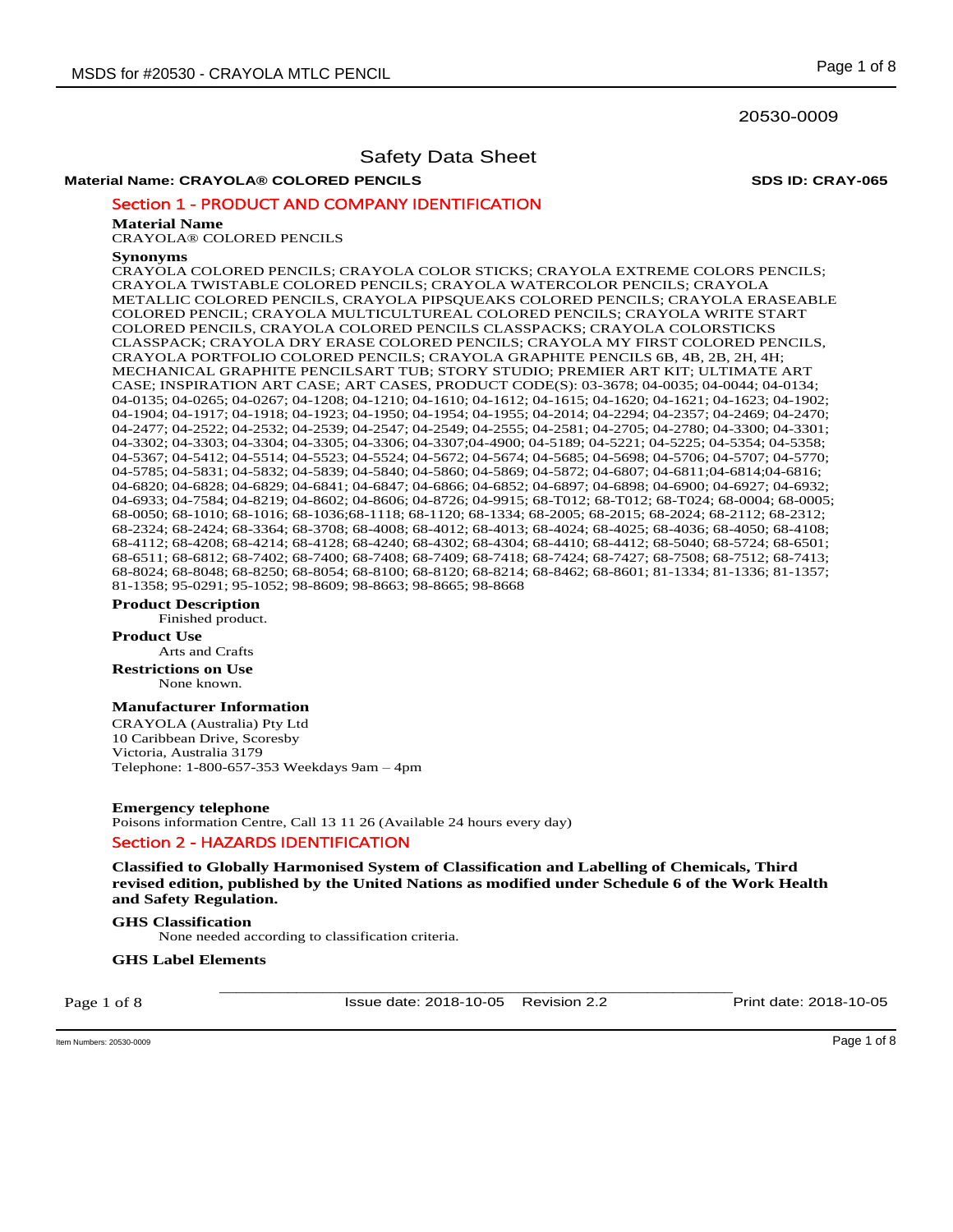### 20530-0009

# Safety Data Sheet

# **Material Name: CRAYOLA® COLORED PENCILS SDS ID: CRAY-065**

Section 1 - PRODUCT AND COMPANY IDENTIFICATION

### **Material Name**

CRAYOLA® COLORED PENCILS

### **Synonyms**

CRAYOLA COLORED PENCILS; CRAYOLA COLOR STICKS; CRAYOLA EXTREME COLORS PENCILS; CRAYOLA TWISTABLE COLORED PENCILS; CRAYOLA WATERCOLOR PENCILS; CRAYOLA METALLIC COLORED PENCILS, CRAYOLA PIPSQUEAKS COLORED PENCILS; CRAYOLA ERASEABLE COLORED PENCIL; CRAYOLA MULTICULTUREAL COLORED PENCILS; CRAYOLA WRITE START COLORED PENCILS, CRAYOLA COLORED PENCILS CLASSPACKS; CRAYOLA COLORSTICKS CLASSPACK; CRAYOLA DRY ERASE COLORED PENCILS; CRAYOLA MY FIRST COLORED PENCILS, CRAYOLA PORTFOLIO COLORED PENCILS; CRAYOLA GRAPHITE PENCILS 6B, 4B, 2B, 2H, 4H; MECHANICAL GRAPHITE PENCILSART TUB; STORY STUDIO; PREMIER ART KIT; ULTIMATE ART CASE; INSPIRATION ART CASE; ART CASES, PRODUCT CODE(S): 03-3678; 04-0035; 04-0044; 04-0134; 04-0135; 04-0265; 04-0267; 04-1208; 04-1210; 04-1610; 04-1612; 04-1615; 04-1620; 04-1621; 04-1623; 04-1902; 04-1904; 04-1917; 04-1918; 04-1923; 04-1950; 04-1954; 04-1955; 04-2014; 04-2294; 04-2357; 04-2469; 04-2470; 04-2477; 04-2522; 04-2532; 04-2539; 04-2547; 04-2549; 04-2555; 04-2581; 04-2705; 04-2780; 04-3300; 04-3301; 04-3302; 04-3303; 04-3304; 04-3305; 04-3306; 04-3307;04-4900; 04-5189; 04-5221; 04-5225; 04-5354; 04-5358; 04-5367; 04-5412; 04-5514; 04-5523; 04-5524; 04-5672; 04-5674; 04-5685; 04-5698; 04-5706; 04-5707; 04-5770; 04-5785; 04-5831; 04-5832; 04-5839; 04-5840; 04-5860; 04-5869; 04-5872; 04-6807; 04-6811;04-6814;04-6816; 04-6820; 04-6828; 04-6829; 04-6841; 04-6847; 04-6866; 04-6852; 04-6897; 04-6898; 04-6900; 04-6927; 04-6932; 04-6933; 04-7584; 04-8219; 04-8602; 04-8606; 04-8726; 04-9915; 68-T012; 68-T012; 68-T024; 68-0004; 68-0005; 68-0050; 68-1010; 68-1016; 68-1036;68-1118; 68-1120; 68-1334; 68-2005; 68-2015; 68-2024; 68-2112; 68-2312; 68-2324; 68-2424; 68-3364; 68-3708; 68-4008; 68-4012; 68-4013; 68-4024; 68-4025; 68-4036; 68-4050; 68-4108; 68-4112; 68-4208; 68-4214; 68-4128; 68-4240; 68-4302; 68-4304; 68-4410; 68-4412; 68-5040; 68-5724; 68-6501; 68-6511; 68-6812; 68-7402; 68-7400; 68-7408; 68-7409; 68-7418; 68-7424; 68-7427; 68-7508; 68-7512; 68-7413; 68-8024; 68-8048; 68-8250; 68-8054; 68-8100; 68-8120; 68-8214; 68-8462; 68-8601; 81-1334; 81-1336; 81-1357; 81-1358; 95-0291; 95-1052; 98-8609; 98-8663; 98-8665; 98-8668

### **Product Description**

Finished product.

### **Product Use**

Arts and Crafts **Restrictions on Use**

None known.

# **Manufacturer Information**

CRAYOLA (Australia) Pty Ltd 10 Caribbean Drive, Scoresby Victoria, Australia 3179 Telephone: 1-800-657-353 Weekdays 9am – 4pm

**Emergency telephone**  Poisons information Centre, Call 13 11 26 (Available 24 hours every day) Section 2 - HAZARDS IDENTIFICATION

**Classified to Globally Harmonised System of Classification and Labelling of Chemicals, Third revised edition, published by the United Nations as modified under Schedule 6 of the Work Health and Safety Regulation.** 

# **GHS Classification**

None needed according to classification criteria.

### **GHS Label Elements**

Page 1 of 8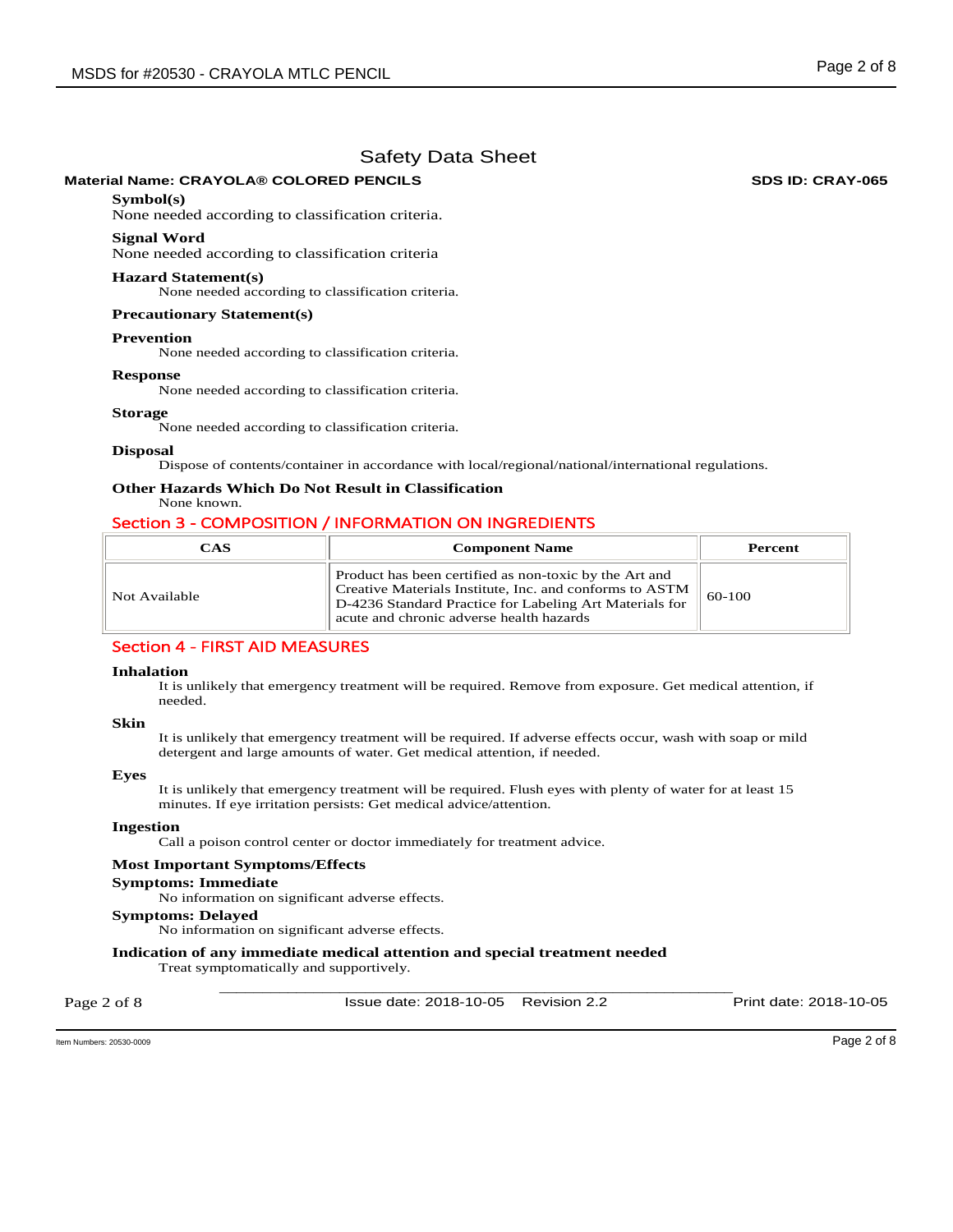# **Material Name: CRAYOLA® COLORED PENCILS SDS ID: CRAY-065**

# **Symbol(s)**

None needed according to classification criteria.

### **Signal Word**

None needed according to classification criteria

#### **Hazard Statement(s)**

None needed according to classification criteria.

### **Precautionary Statement(s)**

#### **Prevention**

None needed according to classification criteria.

#### **Response**

None needed according to classification criteria.

#### **Storage**

None needed according to classification criteria.

#### **Disposal**

Dispose of contents/container in accordance with local/regional/national/international regulations.

# **Other Hazards Which Do Not Result in Classification**

# None known.

# Section 3 - COMPOSITION / INFORMATION ON INGREDIENTS

| CAS           | <b>Component Name</b>                                                                                                                                                                                                    | Percent  |
|---------------|--------------------------------------------------------------------------------------------------------------------------------------------------------------------------------------------------------------------------|----------|
| Not Available | Product has been certified as non-toxic by the Art and<br>Creative Materials Institute, Inc. and conforms to ASTM<br>D-4236 Standard Practice for Labeling Art Materials for<br>acute and chronic adverse health hazards | $60-100$ |

# Section 4 - FIRST AID MEASURES

#### **Inhalation**

It is unlikely that emergency treatment will be required. Remove from exposure. Get medical attention, if needed.

#### **Skin**

It is unlikely that emergency treatment will be required. If adverse effects occur, wash with soap or mild detergent and large amounts of water. Get medical attention, if needed.

#### **Eyes**

It is unlikely that emergency treatment will be required. Flush eyes with plenty of water for at least 15 minutes. If eye irritation persists: Get medical advice/attention.

### **Ingestion**

Call a poison control center or doctor immediately for treatment advice.

#### **Most Important Symptoms/Effects**

#### **Symptoms: Immediate**

No information on significant adverse effects.

# **Symptoms: Delayed**

No information on significant adverse effects.

# **Indication of any immediate medical attention and special treatment needed**

Treat symptomatically and supportively.

Page 2 of 8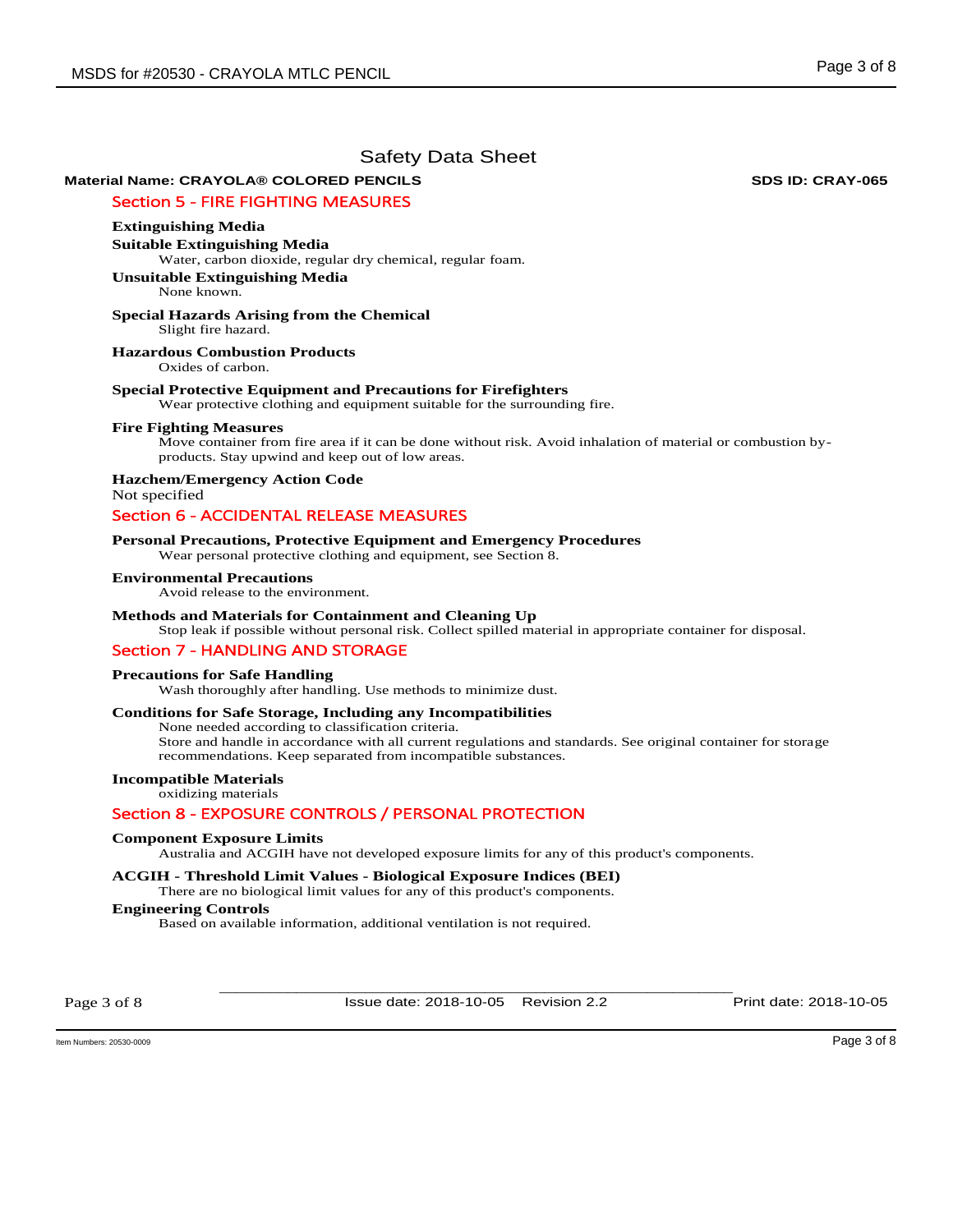# **Material Name: CRAYOLA® COLORED PENCILS SDS ID: CRAY-065**

# Section 5 - FIRE FIGHTING MEASURES

# **Extinguishing Media**

**Suitable Extinguishing Media**  Water, carbon dioxide, regular dry chemical, regular foam.

**Unsuitable Extinguishing Media** None known.

#### **Special Hazards Arising from the Chemical**  Slight fire hazard.

**Hazardous Combustion Products** 

Oxides of carbon.

### **Special Protective Equipment and Precautions for Firefighters**

Wear protective clothing and equipment suitable for the surrounding fire.

### **Fire Fighting Measures**

Move container from fire area if it can be done without risk. Avoid inhalation of material or combustion byproducts. Stay upwind and keep out of low areas.

**Hazchem/Emergency Action Code**  Not specified

# Section 6 - ACCIDENTAL RELEASE MEASURES

### **Personal Precautions, Protective Equipment and Emergency Procedures**

Wear personal protective clothing and equipment, see Section 8.

### **Environmental Precautions**

Avoid release to the environment.

### **Methods and Materials for Containment and Cleaning Up**

Stop leak if possible without personal risk. Collect spilled material in appropriate container for disposal.

### Section 7 - HANDLING AND STORAGE

### **Precautions for Safe Handling**

Wash thoroughly after handling. Use methods to minimize dust.

### **Conditions for Safe Storage, Including any Incompatibilities**

None needed according to classification criteria. Store and handle in accordance with all current regulations and standards. See original container for storage

recommendations. Keep separated from incompatible substances.

# **Incompatible Materials**

oxidizing materials

### Section 8 - EXPOSURE CONTROLS / PERSONAL PROTECTION

### **Component Exposure Limits**

Australia and ACGIH have not developed exposure limits for any of this product's components.

### **ACGIH - Threshold Limit Values - Biological Exposure Indices (BEI)**

There are no biological limit values for any of this product's components.

# **Engineering Controls**

Based on available information, additional ventilation is not required.

Page 3 of 8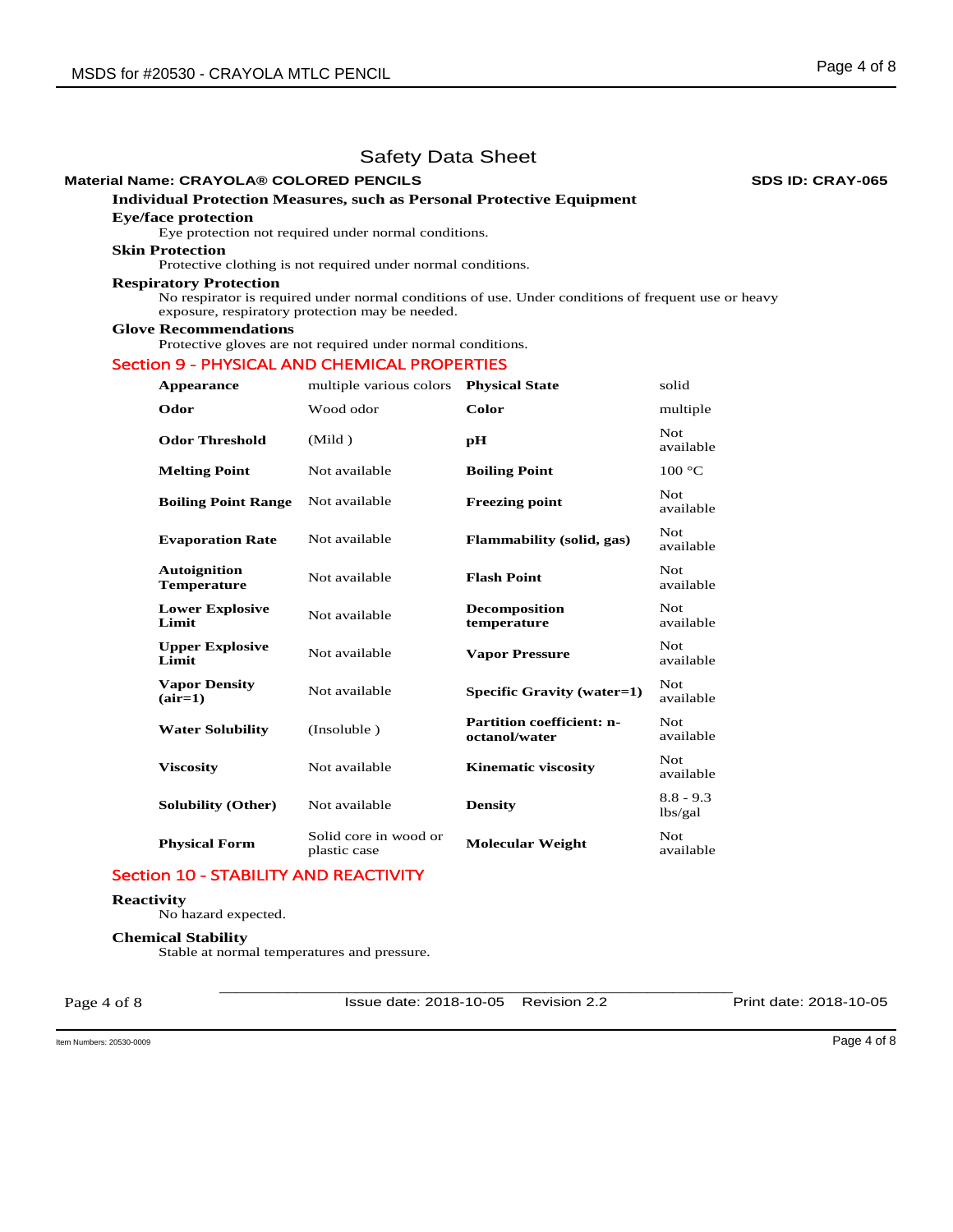# **Material Name: CRAYOLA® COLORED PENCILS SDS ID: CRAY-065**

# **Individual Protection Measures, such as Personal Protective Equipment**

# **Eye/face protection**

Eye protection not required under normal conditions.

# **Skin Protection**

Protective clothing is not required under normal conditions.

### **Respiratory Protection**

No respirator is required under normal conditions of use. Under conditions of frequent use or heavy exposure, respiratory protection may be needed.

# **Glove Recommendations**

Protective gloves are not required under normal conditions.

# Section 9 - PHYSICAL AND CHEMICAL PROPERTIES

| Appearance                                | multiple various colors               | <b>Physical State</b>                             | solid                   |
|-------------------------------------------|---------------------------------------|---------------------------------------------------|-------------------------|
| Odor                                      | Wood odor                             | Color                                             | multiple                |
| <b>Odor Threshold</b>                     | (Mild)                                | pH                                                | Not.<br>available       |
| <b>Melting Point</b>                      | Not available                         | <b>Boiling Point</b>                              | 100 °C                  |
| <b>Boiling Point Range</b>                | Not available                         | <b>Freezing point</b>                             | <b>Not</b><br>available |
| <b>Evaporation Rate</b>                   | Not available                         | <b>Flammability (solid, gas)</b>                  | Not<br>available        |
| <b>Autoignition</b><br><b>Temperature</b> | Not available                         | <b>Flash Point</b>                                | <b>Not</b><br>available |
| <b>Lower Explosive</b><br>Limit           | Not available                         | <b>Decomposition</b><br>temperature               | <b>Not</b><br>available |
| <b>Upper Explosive</b><br>Limit           | Not available                         | <b>Vapor Pressure</b>                             | Not<br>available        |
| <b>Vapor Density</b><br>$(air=1)$         | Not available                         | Specific Gravity (water=1)                        | Not<br>available        |
| <b>Water Solubility</b>                   | (Insoluble)                           | <b>Partition coefficient: n-</b><br>octanol/water | Not.<br>available       |
| <b>Viscosity</b>                          | Not available                         | <b>Kinematic viscosity</b>                        | <b>Not</b><br>available |
| <b>Solubility (Other)</b>                 | Not available                         | <b>Density</b>                                    | $8.8 - 9.3$<br>lbs/gal  |
| <b>Physical Form</b>                      | Solid core in wood or<br>plastic case | <b>Molecular Weight</b>                           | Not.<br>available       |

# Section 10 - STABILITY AND REACTIVITY

# **Reactivity**

No hazard expected.

# **Chemical Stability**

Stable at normal temperatures and pressure.

Page 4 of 8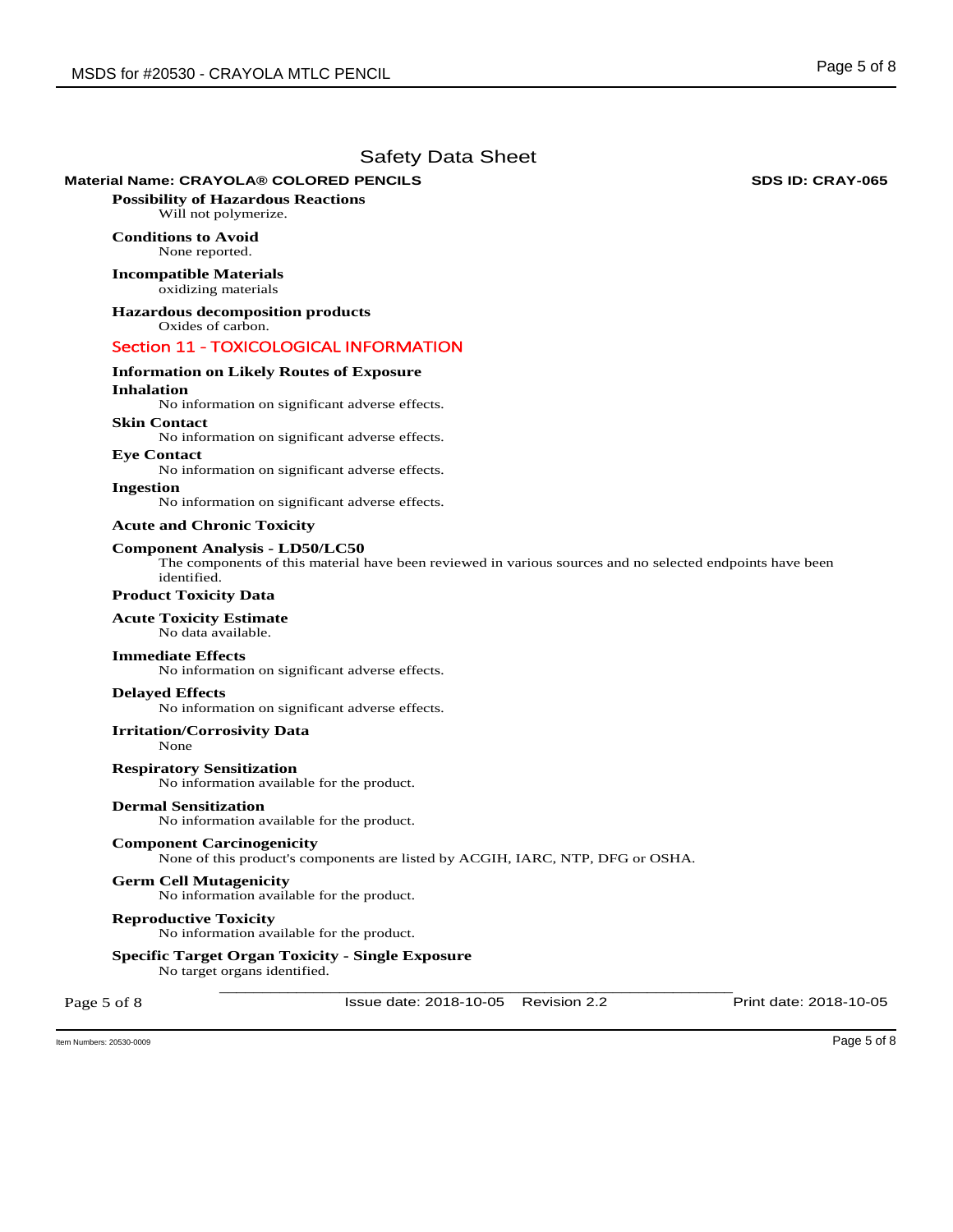# **Material Name: CRAYOLA® COLORED PENCILS SDS ID: CRAY-065**

**Possibility of Hazardous Reactions** Will not polymerize.

# **Conditions to Avoid** None reported.

**Incompatible Materials** oxidizing materials

**Hazardous decomposition products**  Oxides of carbon.

# Section 11 - TOXICOLOGICAL INFORMATION

# **Information on Likely Routes of Exposure**

# **Inhalation**

No information on significant adverse effects.

# **Skin Contact**

No information on significant adverse effects.

**Eye Contact**  No information on significant adverse effects.

# **Ingestion**

No information on significant adverse effects.

### **Acute and Chronic Toxicity**

### **Component Analysis - LD50/LC50**

The components of this material have been reviewed in various sources and no selected endpoints have been identified.

# **Product Toxicity Data**

### **Acute Toxicity Estimate**

No data available.

### **Immediate Effects**

No information on significant adverse effects.

### **Delayed Effects**

No information on significant adverse effects.

### **Irritation/Corrosivity Data**

None

**Respiratory Sensitization**  No information available for the product.

# **Dermal Sensitization**

No information available for the product.

### **Component Carcinogenicity**

None of this product's components are listed by ACGIH, IARC, NTP, DFG or OSHA.

### **Germ Cell Mutagenicity**

No information available for the product.

### **Reproductive Toxicity**

No information available for the product.

## **Specific Target Organ Toxicity - Single Exposure**

No target organs identified.

Page 5 of 8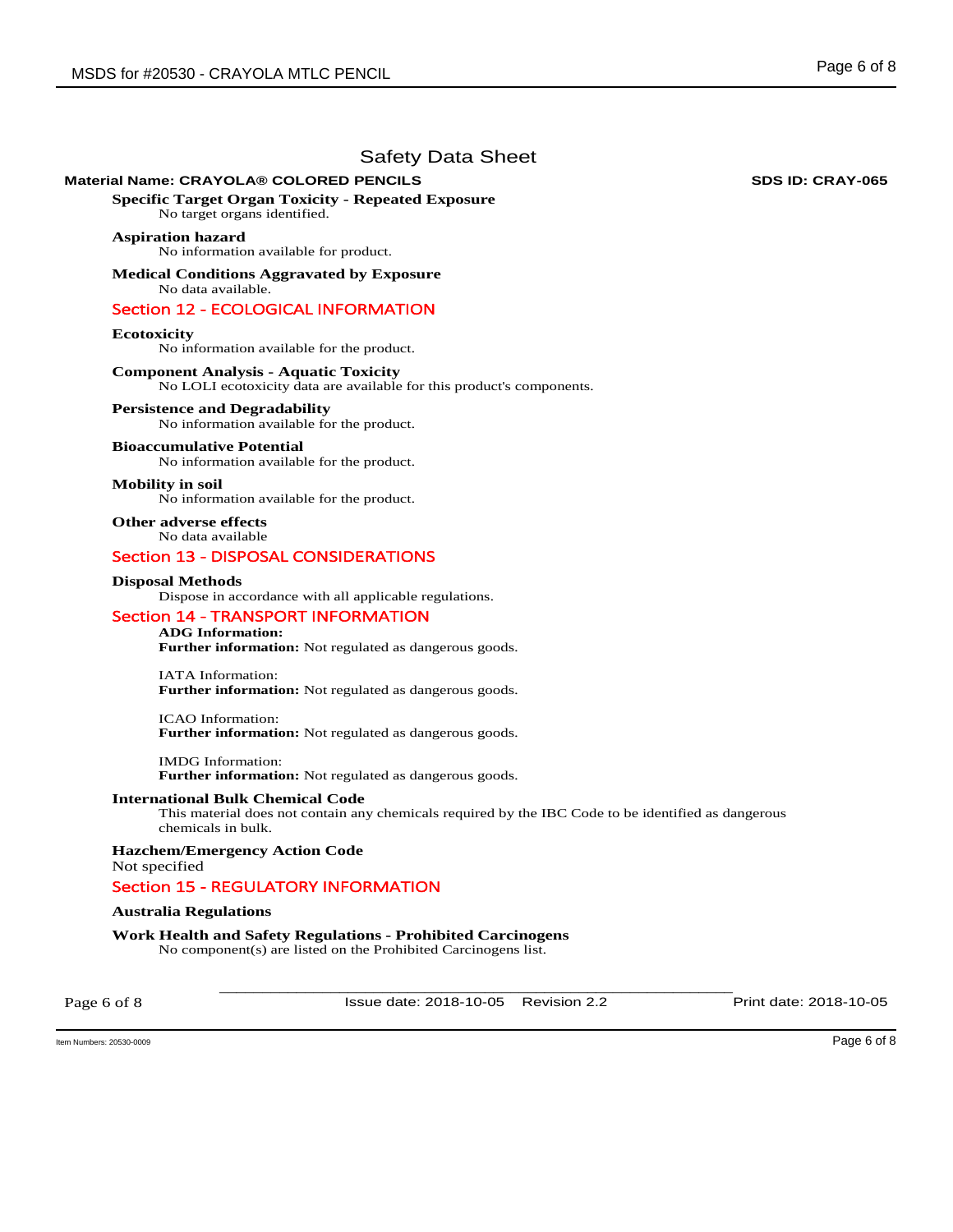# **Material Name: CRAYOLA® COLORED PENCILS SDS ID: CRAY-065**

**Specific Target Organ Toxicity - Repeated Exposure** 

No target organs identified.

# **Aspiration hazard**

No information available for product.

**Medical Conditions Aggravated by Exposure** No data available.

# Section 12 - ECOLOGICAL INFORMATION

### **Ecotoxicity**

No information available for the product.

# **Component Analysis - Aquatic Toxicity**

No LOLI ecotoxicity data are available for this product's components.

### **Persistence and Degradability**

No information available for the product.

### **Bioaccumulative Potential**

No information available for the product.

### **Mobility in soil**

No information available for the product.

**Other adverse effects**  No data available

# Section 13 - DISPOSAL CONSIDERATIONS

### **Disposal Methods**

Dispose in accordance with all applicable regulations.

### Section 14 - TRANSPORT INFORMATION

# **ADG Information:**

**Further information:** Not regulated as dangerous goods.

IATA Information: **Further information:** Not regulated as dangerous goods.

ICAO Information: **Further information:** Not regulated as dangerous goods.

IMDG Information: **Further information:** Not regulated as dangerous goods.

### **International Bulk Chemical Code**

This material does not contain any chemicals required by the IBC Code to be identified as dangerous chemicals in bulk.

**Hazchem/Emergency Action Code**  Not specified

# Section 15 - REGULATORY INFORMATION

### **Australia Regulations**

**Work Health and Safety Regulations - Prohibited Carcinogens**  No component(s) are listed on the Prohibited Carcinogens list.

Page 6 of 8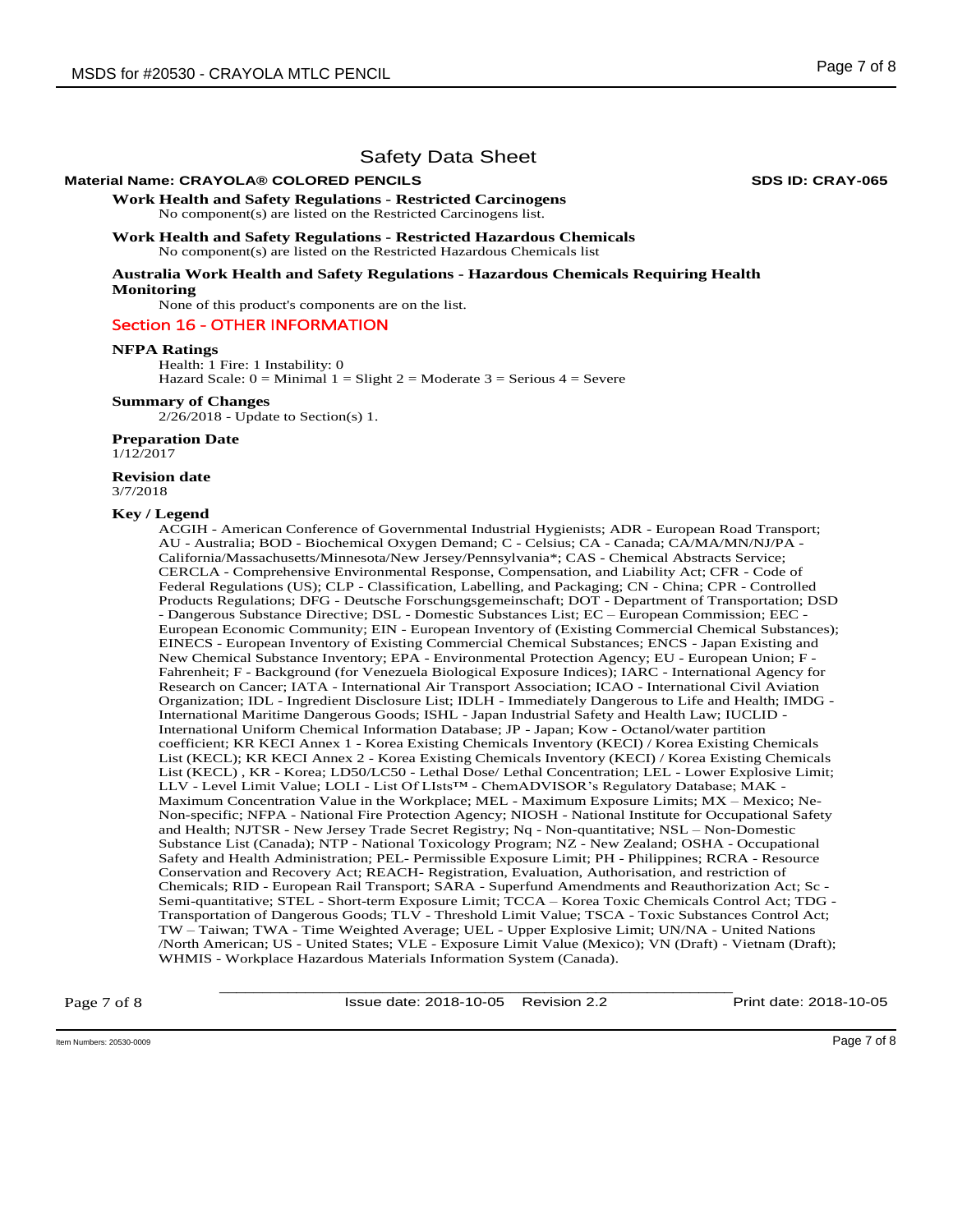# **Material Name: CRAYOLA® COLORED PENCILS SDS ID: CRAY-065**

**Work Health and Safety Regulations - Restricted Carcinogens**  No component(s) are listed on the Restricted Carcinogens list.

**Work Health and Safety Regulations - Restricted Hazardous Chemicals**  No component(s) are listed on the Restricted Hazardous Chemicals list

**Australia Work Health and Safety Regulations - Hazardous Chemicals Requiring Health Monitoring** 

None of this product's components are on the list.

### Section 16 - OTHER INFORMATION

### **NFPA Ratings**

Health: 1 Fire: 1 Instability: 0 Hazard Scale:  $0 =$  Minimal  $1 =$  Slight  $2 =$  Moderate  $3 =$  Serious  $4 =$  Severe

### **Summary of Changes**

2/26/2018 - Update to Section(s) 1.

### **Preparation Date**

1/12/2017

#### **Revision date**  3/7/2018

### **Key / Legend**

ACGIH - American Conference of Governmental Industrial Hygienists; ADR - European Road Transport; AU - Australia; BOD - Biochemical Oxygen Demand; C - Celsius; CA - Canada; CA/MA/MN/NJ/PA - California/Massachusetts/Minnesota/New Jersey/Pennsylvania\*; CAS - Chemical Abstracts Service; CERCLA - Comprehensive Environmental Response, Compensation, and Liability Act; CFR - Code of Federal Regulations (US); CLP - Classification, Labelling, and Packaging; CN - China; CPR - Controlled Products Regulations; DFG - Deutsche Forschungsgemeinschaft; DOT - Department of Transportation; DSD - Dangerous Substance Directive; DSL - Domestic Substances List; EC – European Commission; EEC - European Economic Community; EIN - European Inventory of (Existing Commercial Chemical Substances); EINECS - European Inventory of Existing Commercial Chemical Substances; ENCS - Japan Existing and New Chemical Substance Inventory; EPA - Environmental Protection Agency; EU - European Union; F - Fahrenheit; F - Background (for Venezuela Biological Exposure Indices); IARC - International Agency for Research on Cancer; IATA - International Air Transport Association; ICAO - International Civil Aviation Organization; IDL - Ingredient Disclosure List; IDLH - Immediately Dangerous to Life and Health; IMDG - International Maritime Dangerous Goods; ISHL - Japan Industrial Safety and Health Law; IUCLID - International Uniform Chemical Information Database; JP - Japan; Kow - Octanol/water partition coefficient; KR KECI Annex 1 - Korea Existing Chemicals Inventory (KECI) / Korea Existing Chemicals List (KECL); KR KECI Annex 2 - Korea Existing Chemicals Inventory (KECI) / Korea Existing Chemicals List (KECL) , KR - Korea; LD50/LC50 - Lethal Dose/ Lethal Concentration; LEL - Lower Explosive Limit; LLV - Level Limit Value; LOLI - List Of LIsts™ - ChemADVISOR's Regulatory Database; MAK - Maximum Concentration Value in the Workplace; MEL - Maximum Exposure Limits; MX – Mexico; Ne-Non-specific; NFPA - National Fire Protection Agency; NIOSH - National Institute for Occupational Safety and Health; NJTSR - New Jersey Trade Secret Registry; Nq - Non-quantitative; NSL – Non-Domestic Substance List (Canada); NTP - National Toxicology Program; NZ - New Zealand; OSHA - Occupational Safety and Health Administration; PEL- Permissible Exposure Limit; PH - Philippines; RCRA - Resource Conservation and Recovery Act; REACH- Registration, Evaluation, Authorisation, and restriction of Chemicals; RID - European Rail Transport; SARA - Superfund Amendments and Reauthorization Act; Sc - Semi-quantitative; STEL - Short-term Exposure Limit; TCCA – Korea Toxic Chemicals Control Act; TDG - Transportation of Dangerous Goods; TLV - Threshold Limit Value; TSCA - Toxic Substances Control Act; TW – Taiwan; TWA - Time Weighted Average; UEL - Upper Explosive Limit; UN/NA - United Nations /North American; US - United States; VLE - Exposure Limit Value (Mexico); VN (Draft) - Vietnam (Draft); WHMIS - Workplace Hazardous Materials Information System (Canada).

Page 7 of 8